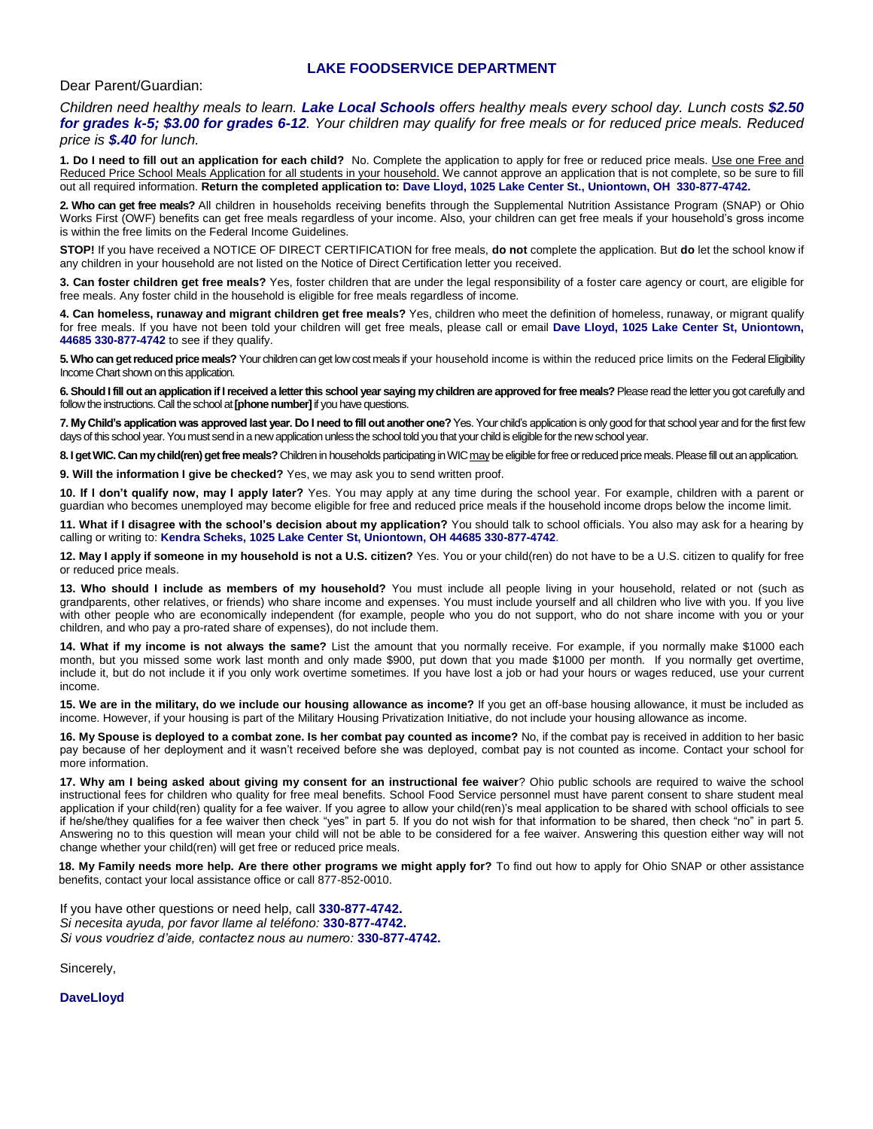#### **LAKE FOODSERVICE DEPARTMENT**

#### Dear Parent/Guardian:

*Children need healthy meals to learn. Lake Local Schools offers healthy meals every school day. Lunch costs \$2.50 for grades k-5; \$3.00 for grades 6-12. Your children may qualify for free meals or for reduced price meals. Reduced price is \$.40 for lunch.*

**1. Do I need to fill out an application for each child?** No. Complete the application to apply for free or reduced price meals. Use one Free and Reduced Price School Meals Application for all students in your household. We cannot approve an application that is not complete, so be sure to fill out all required information. **Return the completed application to: Dave Lloyd, 1025 Lake Center St., Uniontown, OH 330-877-4742.**

**2. Who can get free meals?** All children in households receiving benefits through the Supplemental Nutrition Assistance Program (SNAP) or Ohio Works First (OWF) benefits can get free meals regardless of your income. Also, your children can get free meals if your household's gross income is within the free limits on the Federal Income Guidelines.

**STOP!** If you have received a NOTICE OF DIRECT CERTIFICATION for free meals, **do not** complete the application. But **do** let the school know if any children in your household are not listed on the Notice of Direct Certification letter you received.

**3. Can foster children get free meals?** Yes, foster children that are under the legal responsibility of a foster care agency or court, are eligible for free meals. Any foster child in the household is eligible for free meals regardless of income.

**4. Can homeless, runaway and migrant children get free meals?** Yes, children who meet the definition of homeless, runaway, or migrant qualify for free meals. If you have not been told your children will get free meals, please call or email **Dave Lloyd, 1025 Lake Center St, Uniontown, 44685 330-877-4742** to see if they qualify.

**5. Who can get reduced price meals?** Your children can get low cost meals if your household income is within the reduced price limits on the Federal Eligibility Income Chart shown on this application.

**6. Should I fill out an application if I received a letter this school year saying my children are approved for free meals?** Please read the letter you got carefully and follow the instructions. Call the school at **[phone number]**if you have questions.

**7. My Child's application was approved last year. Do I need to fill out another one?** Yes. Your child's application is only good for that school year and for the first few days of this school year. You must send in a new application unless the school told you that your child is eligible for the new school year.

8. I get WIC. Can my child(ren) get free meals? Children in households participating in WIC may be eligible for free or reduced price meals. Please fill out an application.

**9. Will the information I give be checked?** Yes, we may ask you to send written proof.

**10. If I don't qualify now, may I apply later?** Yes. You may apply at any time during the school year. For example, children with a parent or guardian who becomes unemployed may become eligible for free and reduced price meals if the household income drops below the income limit.

**11. What if I disagree with the school's decision about my application?** You should talk to school officials. You also may ask for a hearing by calling or writing to: **Kendra Scheks, 1025 Lake Center St, Uniontown, OH 44685 330-877-4742**.

**12. May I apply if someone in my household is not a U.S. citizen?** Yes. You or your child(ren) do not have to be a U.S. citizen to qualify for free or reduced price meals.

**13. Who should I include as members of my household?** You must include all people living in your household, related or not (such as grandparents, other relatives, or friends) who share income and expenses. You must include yourself and all children who live with you. If you live with other people who are economically independent (for example, people who you do not support, who do not share income with you or your children, and who pay a pro-rated share of expenses), do not include them.

**14. What if my income is not always the same?** List the amount that you normally receive. For example, if you normally make \$1000 each month, but you missed some work last month and only made \$900, put down that you made \$1000 per month. If you normally get overtime, include it, but do not include it if you only work overtime sometimes. If you have lost a job or had your hours or wages reduced, use your current income.

**15. We are in the military, do we include our housing allowance as income?** If you get an off-base housing allowance, it must be included as income. However, if your housing is part of the Military Housing Privatization Initiative, do not include your housing allowance as income.

**16. My Spouse is deployed to a combat zone. Is her combat pay counted as income?** No, if the combat pay is received in addition to her basic pay because of her deployment and it wasn't received before she was deployed, combat pay is not counted as income. Contact your school for more information.

**17. Why am I being asked about giving my consent for an instructional fee waiver**? Ohio public schools are required to waive the school instructional fees for children who quality for free meal benefits. School Food Service personnel must have parent consent to share student meal application if your child(ren) quality for a fee waiver. If you agree to allow your child(ren)'s meal application to be shared with school officials to see if he/she/they qualifies for a fee waiver then check "yes" in part 5. If you do not wish for that information to be shared, then check "no" in part 5. Answering no to this question will mean your child will not be able to be considered for a fee waiver. Answering this question either way will not change whether your child(ren) will get free or reduced price meals.

**18. My Family needs more help. Are there other programs we might apply for?** To find out how to apply for Ohio SNAP or other assistance benefits, contact your local assistance office or call 877-852-0010.

If you have other questions or need help, call **330-877-4742.** *Si necesita ayuda, por favor llame al teléfono:* **330-877-4742.** *Si vous voudriez d'aide, contactez nous au numero:* **330-877-4742.**

Sincerely,

**DaveLloyd**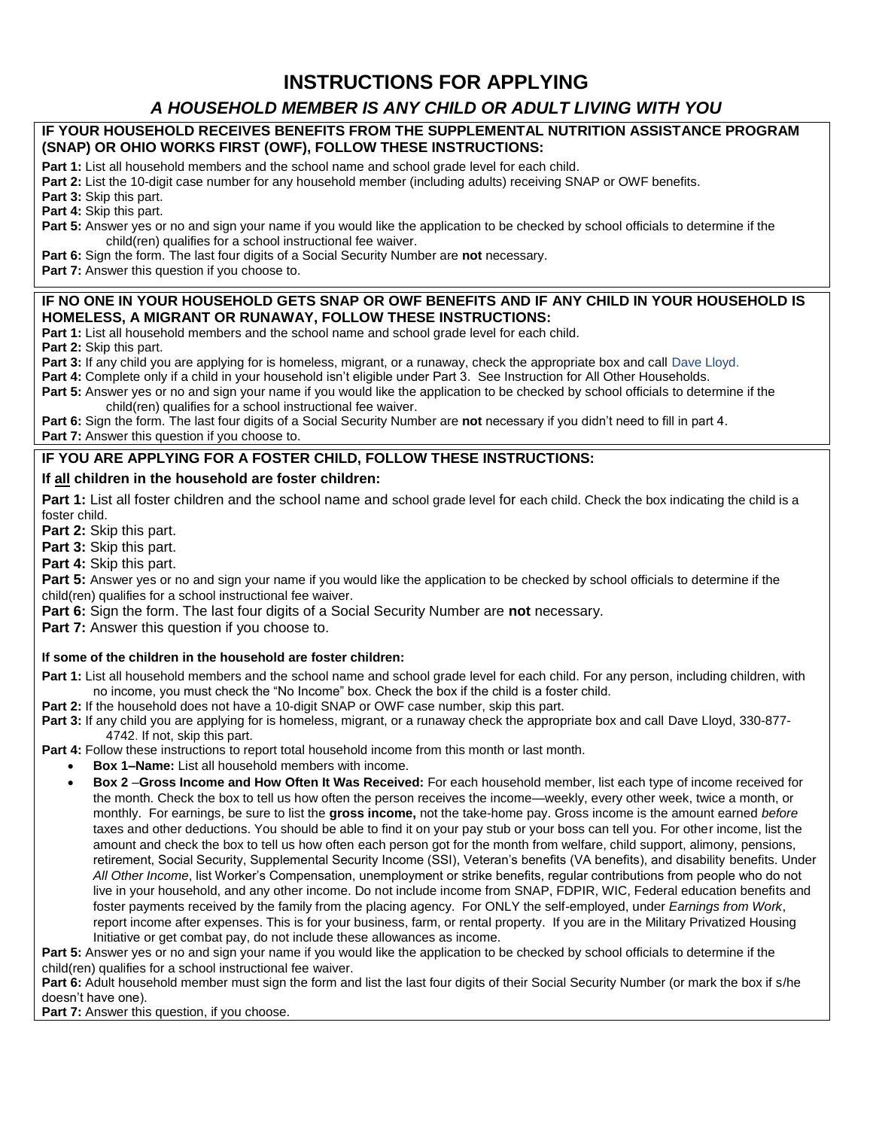# **INSTRUCTIONS FOR APPLYING**

## *A HOUSEHOLD MEMBER IS ANY CHILD OR ADULT LIVING WITH YOU*

#### **IF YOUR HOUSEHOLD RECEIVES BENEFITS FROM THE SUPPLEMENTAL NUTRITION ASSISTANCE PROGRAM (SNAP) OR OHIO WORKS FIRST (OWF), FOLLOW THESE INSTRUCTIONS:**

**Part 1:** List all household members and the school name and school grade level for each child.

**Part 2:** List the 10-digit case number for any household member (including adults) receiving SNAP or OWF benefits.

**Part 3:** Skip this part.

**Part 4:** Skip this part.

**Part 5:** Answer yes or no and sign your name if you would like the application to be checked by school officials to determine if the child(ren) qualifies for a school instructional fee waiver.

**Part 6:** Sign the form. The last four digits of a Social Security Number are **not** necessary.

**Part 7:** Answer this question if you choose to.

#### **IF NO ONE IN YOUR HOUSEHOLD GETS SNAP OR OWF BENEFITS AND IF ANY CHILD IN YOUR HOUSEHOLD IS HOMELESS, A MIGRANT OR RUNAWAY, FOLLOW THESE INSTRUCTIONS:**

**Part 1:** List all household members and the school name and school grade level for each child.

**Part 2:** Skip this part.

**Part 3:** If any child you are applying for is homeless, migrant, or a runaway, check the appropriate box and call Dave Lloyd.

Part 4: Complete only if a child in your household isn't eligible under Part 3. See Instruction for All Other Households.

Part 5: Answer yes or no and sign your name if you would like the application to be checked by school officials to determine if the child(ren) qualifies for a school instructional fee waiver.

**Part 6:** Sign the form. The last four digits of a Social Security Number are **not** necessary if you didn't need to fill in part 4. **Part 7:** Answer this question if you choose to.

### **IF YOU ARE APPLYING FOR A FOSTER CHILD, FOLLOW THESE INSTRUCTIONS:**

#### **If all children in the household are foster children:**

**Part 1:** List all foster children and the school name and school grade level for each child. Check the box indicating the child is a foster child.

**Part 2:** Skip this part.

**Part 3:** Skip this part.

**Part 4:** Skip this part.

**Part 5:** Answer yes or no and sign your name if you would like the application to be checked by school officials to determine if the child(ren) qualifies for a school instructional fee waiver.

**Part 6:** Sign the form. The last four digits of a Social Security Number are **not** necessary.

**Part 7:** Answer this question if you choose to.

**If some of the children in the household are foster children:**

**Part 1:** List all household members and the school name and school grade level for each child. For any person, including children, with no income, you must check the "No Income" box. Check the box if the child is a foster child.

**Part 2:** If the household does not have a 10-digit SNAP or OWF case number, skip this part.

**Part 3:** If any child you are applying for is homeless, migrant, or a runaway check the appropriate box and call Dave Lloyd, 330-877- 4742. If not, skip this part.

**Part 4:** Follow these instructions to report total household income from this month or last month.

- **Box 1–Name:** List all household members with income.
	- **Box 2** –**Gross Income and How Often It Was Received:** For each household member, list each type of income received for the month. Check the box to tell us how often the person receives the income—weekly, every other week, twice a month, or monthly. For earnings, be sure to list the **gross income,** not the take-home pay. Gross income is the amount earned *before* taxes and other deductions. You should be able to find it on your pay stub or your boss can tell you. For other income, list the amount and check the box to tell us how often each person got for the month from welfare, child support, alimony, pensions, retirement, Social Security, Supplemental Security Income (SSI), Veteran's benefits (VA benefits), and disability benefits. Under *All Other Income*, list Worker's Compensation, unemployment or strike benefits, regular contributions from people who do not live in your household, and any other income. Do not include income from SNAP, FDPIR, WIC, Federal education benefits and foster payments received by the family from the placing agency. For ONLY the self-employed, under *Earnings from Work*, report income after expenses. This is for your business, farm, or rental property. If you are in the Military Privatized Housing Initiative or get combat pay, do not include these allowances as income.

Part 5: Answer yes or no and sign your name if you would like the application to be checked by school officials to determine if the child(ren) qualifies for a school instructional fee waiver.

Part 6: Adult household member must sign the form and list the last four digits of their Social Security Number (or mark the box if s/he doesn't have one).

**Part 7:** Answer this question, if you choose.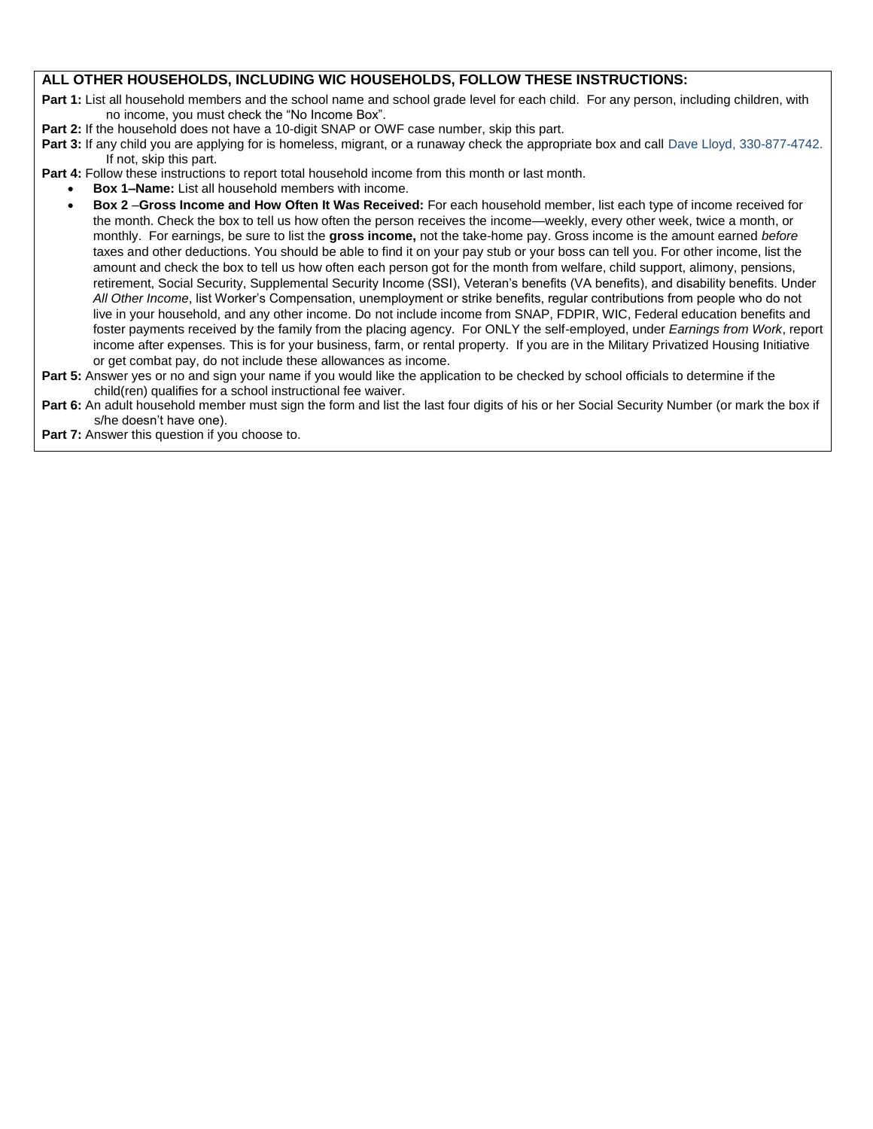### **ALL OTHER HOUSEHOLDS, INCLUDING WIC HOUSEHOLDS, FOLLOW THESE INSTRUCTIONS:**

Part 1: List all household members and the school name and school grade level for each child. For any person, including children, with no income, you must check the "No Income Box".

- **Part 2:** If the household does not have a 10-digit SNAP or OWF case number, skip this part.
- Part 3: If any child you are applying for is homeless, migrant, or a runaway check the appropriate box and call Dave Lloyd, 330-877-4742. If not, skip this part.

**Part 4:** Follow these instructions to report total household income from this month or last month.

- **Box 1–Name:** List all household members with income.
- **Box 2** –**Gross Income and How Often It Was Received:** For each household member, list each type of income received for the month. Check the box to tell us how often the person receives the income—weekly, every other week, twice a month, or monthly. For earnings, be sure to list the **gross income,** not the take-home pay. Gross income is the amount earned *before* taxes and other deductions. You should be able to find it on your pay stub or your boss can tell you. For other income, list the amount and check the box to tell us how often each person got for the month from welfare, child support, alimony, pensions, retirement, Social Security, Supplemental Security Income (SSI), Veteran's benefits (VA benefits), and disability benefits. Under *All Other Income*, list Worker's Compensation, unemployment or strike benefits, regular contributions from people who do not live in your household, and any other income. Do not include income from SNAP, FDPIR, WIC, Federal education benefits and foster payments received by the family from the placing agency. For ONLY the self-employed, under *Earnings from Work*, report income after expenses. This is for your business, farm, or rental property. If you are in the Military Privatized Housing Initiative or get combat pay, do not include these allowances as income.
- Part 5: Answer yes or no and sign your name if you would like the application to be checked by school officials to determine if the child(ren) qualifies for a school instructional fee waiver.
- Part 6: An adult household member must sign the form and list the last four digits of his or her Social Security Number (or mark the box if s/he doesn't have one).

**Part 7:** Answer this question if you choose to.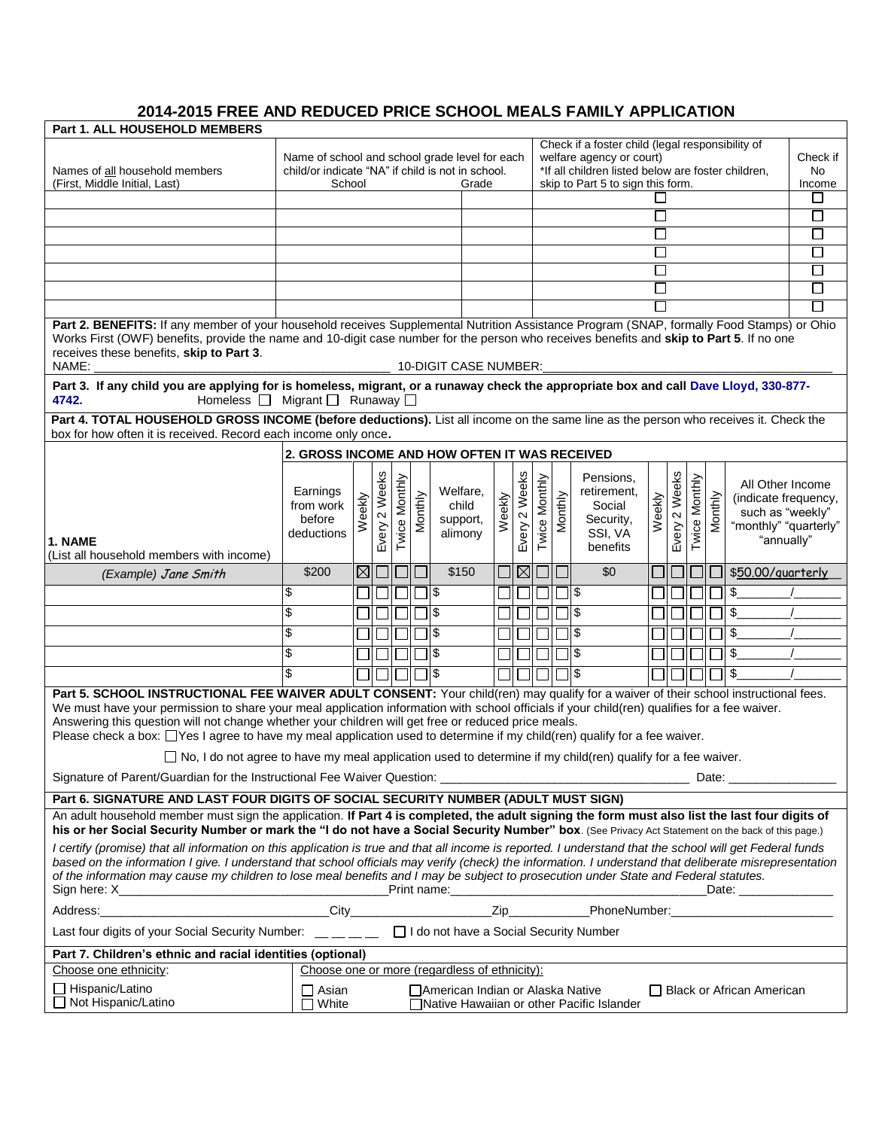## **2014-2015 FREE AND REDUCED PRICE SCHOOL MEALS FAMILY APPLICATION**

|                                                                                                                                                                                                                                                                                                                                                                                                                                                                                                                                                                                                                                               | <b>Part 1. ALL HOUSEHOLD MEMBERS</b>                                                                          |       |                  |               |         |                                                                                                                                                                         |                  |               |               |         |                                                                        |        |                                       |               |         |                                                                                                     |             |
|-----------------------------------------------------------------------------------------------------------------------------------------------------------------------------------------------------------------------------------------------------------------------------------------------------------------------------------------------------------------------------------------------------------------------------------------------------------------------------------------------------------------------------------------------------------------------------------------------------------------------------------------------|---------------------------------------------------------------------------------------------------------------|-------|------------------|---------------|---------|-------------------------------------------------------------------------------------------------------------------------------------------------------------------------|------------------|---------------|---------------|---------|------------------------------------------------------------------------|--------|---------------------------------------|---------------|---------|-----------------------------------------------------------------------------------------------------|-------------|
| Names of all household members                                                                                                                                                                                                                                                                                                                                                                                                                                                                                                                                                                                                                | Name of school and school grade level for each<br>child/or indicate "NA" if child is not in school.<br>School |       |                  |               |         | Check if a foster child (legal responsibility of<br>welfare agency or court)<br>*If all children listed below are foster children,<br>skip to Part 5 to sign this form. |                  |               |               |         |                                                                        |        | Check if<br>No.                       |               |         |                                                                                                     |             |
| (First, Middle Initial, Last)                                                                                                                                                                                                                                                                                                                                                                                                                                                                                                                                                                                                                 |                                                                                                               |       |                  |               |         | Grade                                                                                                                                                                   |                  |               |               |         |                                                                        |        |                                       |               |         |                                                                                                     | Income<br>⊔ |
|                                                                                                                                                                                                                                                                                                                                                                                                                                                                                                                                                                                                                                               |                                                                                                               |       |                  |               |         |                                                                                                                                                                         |                  |               |               |         |                                                                        | П      |                                       |               |         |                                                                                                     | □           |
|                                                                                                                                                                                                                                                                                                                                                                                                                                                                                                                                                                                                                                               |                                                                                                               |       |                  |               |         |                                                                                                                                                                         |                  |               |               |         |                                                                        |        |                                       |               |         |                                                                                                     | $\Box$      |
|                                                                                                                                                                                                                                                                                                                                                                                                                                                                                                                                                                                                                                               |                                                                                                               |       |                  |               |         |                                                                                                                                                                         |                  |               |               |         |                                                                        | $\Box$ |                                       |               |         |                                                                                                     | □           |
|                                                                                                                                                                                                                                                                                                                                                                                                                                                                                                                                                                                                                                               |                                                                                                               |       |                  |               |         |                                                                                                                                                                         |                  |               |               |         |                                                                        |        |                                       |               |         |                                                                                                     | ⊔           |
|                                                                                                                                                                                                                                                                                                                                                                                                                                                                                                                                                                                                                                               |                                                                                                               |       |                  |               |         |                                                                                                                                                                         |                  |               |               |         |                                                                        |        |                                       |               |         |                                                                                                     | □           |
|                                                                                                                                                                                                                                                                                                                                                                                                                                                                                                                                                                                                                                               |                                                                                                               |       |                  |               |         |                                                                                                                                                                         |                  |               |               |         |                                                                        |        |                                       |               |         |                                                                                                     | $\Box$      |
| Part 2. BENEFITS: If any member of your household receives Supplemental Nutrition Assistance Program (SNAP, formally Food Stamps) or Ohio<br>Works First (OWF) benefits, provide the name and 10-digit case number for the person who receives benefits and skip to Part 5. If no one<br>receives these benefits, skip to Part 3.<br>NAME:<br>10-DIGIT CASE NUMBER:                                                                                                                                                                                                                                                                           |                                                                                                               |       |                  |               |         |                                                                                                                                                                         |                  |               |               |         |                                                                        |        |                                       |               |         |                                                                                                     |             |
| Part 3. If any child you are applying for is homeless, migrant, or a runaway check the appropriate box and call Dave Lloyd, 330-877-<br>Homeless $\Box$ Migrant $\Box$ Runaway $\Box$<br>4742.<br>Part 4. TOTAL HOUSEHOLD GROSS INCOME (before deductions). List all income on the same line as the person who receives it. Check the                                                                                                                                                                                                                                                                                                         |                                                                                                               |       |                  |               |         |                                                                                                                                                                         |                  |               |               |         |                                                                        |        |                                       |               |         |                                                                                                     |             |
| box for how often it is received. Record each income only once.                                                                                                                                                                                                                                                                                                                                                                                                                                                                                                                                                                               |                                                                                                               |       |                  |               |         |                                                                                                                                                                         |                  |               |               |         |                                                                        |        |                                       |               |         |                                                                                                     |             |
|                                                                                                                                                                                                                                                                                                                                                                                                                                                                                                                                                                                                                                               | 2. GROSS INCOME AND HOW OFTEN IT WAS RECEIVED                                                                 |       |                  |               |         |                                                                                                                                                                         |                  |               |               |         |                                                                        |        |                                       |               |         |                                                                                                     |             |
| 1. NAME<br>(List all household members with income)                                                                                                                                                                                                                                                                                                                                                                                                                                                                                                                                                                                           | Earnings<br>from work<br>before<br>deductions                                                                 | eekly | 2 Weeks<br>Every | Twice Monthly | Monthly | Welfare,<br>child<br>support,<br>alimony                                                                                                                                | eekly<br>$\zeta$ | Every 2 Weeks | Twice Monthly | Monthly | Pensions,<br>retirement,<br>Social<br>Security,<br>SSI, VA<br>benefits | Weekly | Weeks<br>$\boldsymbol{\sim}$<br>Every | Twice Monthly | Monthly | All Other Income<br>(indicate frequency,<br>such as "weekly"<br>"monthly" "quarterly"<br>"annually" |             |
| (Example) Jane Smith                                                                                                                                                                                                                                                                                                                                                                                                                                                                                                                                                                                                                          | \$200                                                                                                         |       | ⊠∣⊡              |               |         | \$150                                                                                                                                                                   |                  | $\boxtimes$   |               |         | \$0                                                                    |        |                                       |               |         | \$50.00/quarterly                                                                                   |             |
|                                                                                                                                                                                                                                                                                                                                                                                                                                                                                                                                                                                                                                               | \$                                                                                                            |       |                  |               | Π \$    |                                                                                                                                                                         |                  |               |               |         | 11\$                                                                   |        |                                       |               |         | \$                                                                                                  |             |
|                                                                                                                                                                                                                                                                                                                                                                                                                                                                                                                                                                                                                                               | \$                                                                                                            |       |                  |               |         | \$                                                                                                                                                                      |                  |               |               |         | 1\$                                                                    |        |                                       |               |         | \$                                                                                                  |             |
|                                                                                                                                                                                                                                                                                                                                                                                                                                                                                                                                                                                                                                               | \$                                                                                                            |       |                  |               |         | l\$                                                                                                                                                                     |                  |               |               |         | 15                                                                     |        |                                       |               |         | \$                                                                                                  |             |
|                                                                                                                                                                                                                                                                                                                                                                                                                                                                                                                                                                                                                                               | \$                                                                                                            |       |                  |               |         | \$                                                                                                                                                                      |                  |               |               |         | 11 \$                                                                  |        |                                       |               |         | \$                                                                                                  |             |
|                                                                                                                                                                                                                                                                                                                                                                                                                                                                                                                                                                                                                                               |                                                                                                               |       |                  |               |         |                                                                                                                                                                         |                  |               |               |         |                                                                        |        |                                       |               |         |                                                                                                     |             |
|                                                                                                                                                                                                                                                                                                                                                                                                                                                                                                                                                                                                                                               | \$                                                                                                            |       |                  |               |         | ] \$                                                                                                                                                                    |                  |               |               |         | 11\$                                                                   |        |                                       |               |         | \$                                                                                                  |             |
| Part 5. SCHOOL INSTRUCTIONAL FEE WAIVER ADULT CONSENT: Your child(ren) may qualify for a waiver of their school instructional fees.<br>We must have your permission to share your meal application information with school officials if your child(ren) qualifies for a fee waiver.<br>Answering this question will not change whether your children will get free or reduced price meals.<br>Please check a box: □Yes I agree to have my meal application used to determine if my child(ren) qualify for a fee waiver.<br>$\Box$ No, I do not agree to have my meal application used to determine if my child(ren) qualify for a fee waiver. |                                                                                                               |       |                  |               |         |                                                                                                                                                                         |                  |               |               |         |                                                                        |        |                                       |               |         |                                                                                                     |             |
|                                                                                                                                                                                                                                                                                                                                                                                                                                                                                                                                                                                                                                               |                                                                                                               |       |                  |               |         |                                                                                                                                                                         |                  |               |               |         |                                                                        |        |                                       |               |         |                                                                                                     |             |
| Part 6. SIGNATURE AND LAST FOUR DIGITS OF SOCIAL SECURITY NUMBER (ADULT MUST SIGN)                                                                                                                                                                                                                                                                                                                                                                                                                                                                                                                                                            |                                                                                                               |       |                  |               |         |                                                                                                                                                                         |                  |               |               |         |                                                                        |        |                                       |               |         |                                                                                                     |             |
| An adult household member must sign the application. If Part 4 is completed, the adult signing the form must also list the last four digits of<br>his or her Social Security Number or mark the "I do not have a Social Security Number" box. (See Privacy Act Statement on the back of this page.)                                                                                                                                                                                                                                                                                                                                           |                                                                                                               |       |                  |               |         |                                                                                                                                                                         |                  |               |               |         |                                                                        |        |                                       |               |         |                                                                                                     |             |
| I certify (promise) that all information on this application is true and that all income is reported. I understand that the school will get Federal funds<br>based on the information I give. I understand that school officials may verify (check) the information. I understand that deliberate misrepresentation<br>of the information may cause my children to lose meal benefits and I may be subject to prosecution under State and Federal statutes.<br>Date: _______________                                                                                                                                                          |                                                                                                               |       |                  |               |         |                                                                                                                                                                         |                  |               |               |         |                                                                        |        |                                       |               |         |                                                                                                     |             |
|                                                                                                                                                                                                                                                                                                                                                                                                                                                                                                                                                                                                                                               |                                                                                                               |       |                  |               |         |                                                                                                                                                                         |                  |               |               |         |                                                                        |        |                                       |               |         |                                                                                                     |             |
| Last four digits of your Social Security Number: __ _ _ _ _ _ D I do not have a Social Security Number                                                                                                                                                                                                                                                                                                                                                                                                                                                                                                                                        |                                                                                                               |       |                  |               |         |                                                                                                                                                                         |                  |               |               |         |                                                                        |        |                                       |               |         |                                                                                                     |             |
| Part 7. Children's ethnic and racial identities (optional)                                                                                                                                                                                                                                                                                                                                                                                                                                                                                                                                                                                    |                                                                                                               |       |                  |               |         |                                                                                                                                                                         |                  |               |               |         |                                                                        |        |                                       |               |         |                                                                                                     |             |
| Choose one or more (regardless of ethnicity):<br>Choose one ethnicity:                                                                                                                                                                                                                                                                                                                                                                                                                                                                                                                                                                        |                                                                                                               |       |                  |               |         |                                                                                                                                                                         |                  |               |               |         |                                                                        |        |                                       |               |         |                                                                                                     |             |
| □ Hispanic/Latino<br>□ Not Hispanic/Latino                                                                                                                                                                                                                                                                                                                                                                                                                                                                                                                                                                                                    | $\Box$ Asian<br>White                                                                                         |       |                  |               |         | L JAmerican Indian or Alaska Native                                                                                                                                     |                  |               |               |         | Native Hawaiian or other Pacific Islander                              |        |                                       |               |         | □ Black or African American                                                                         |             |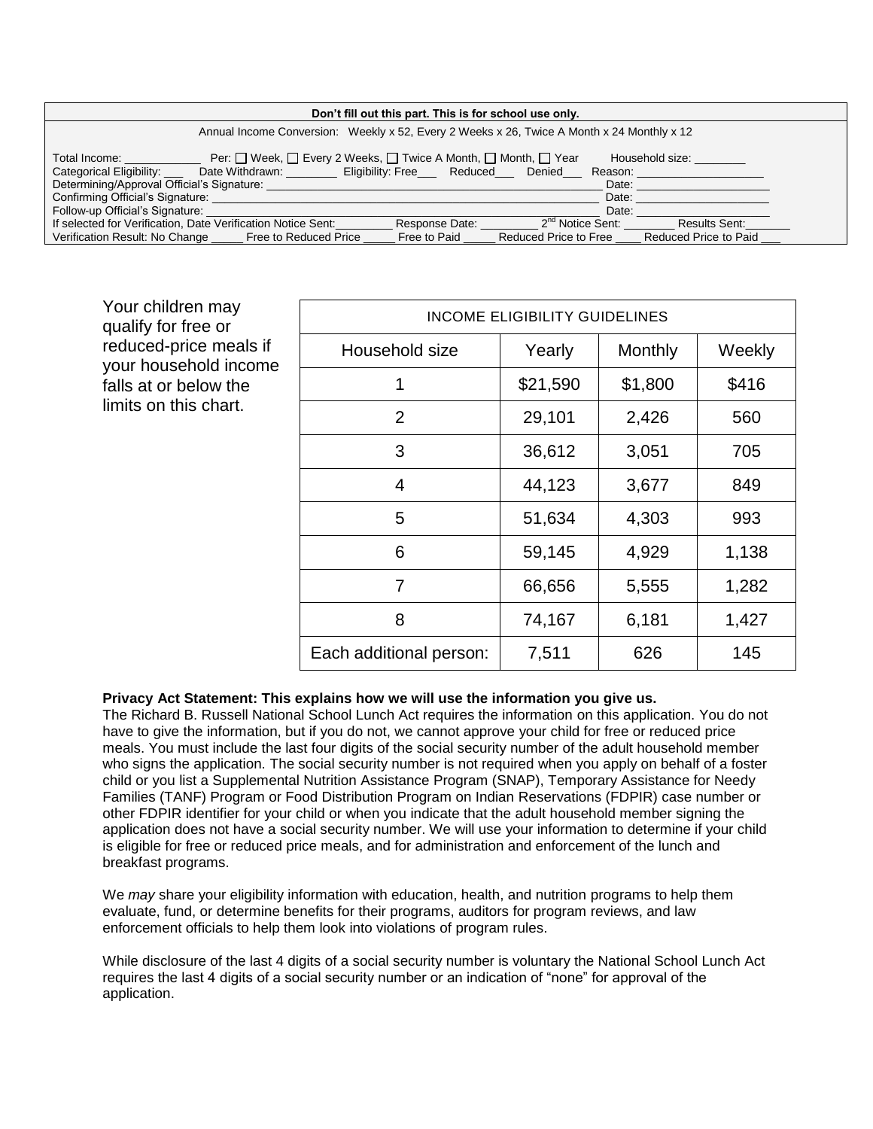| Don't fill out this part. This is for school use only.                                                                                                                                     |  |  |  |  |  |  |  |  |
|--------------------------------------------------------------------------------------------------------------------------------------------------------------------------------------------|--|--|--|--|--|--|--|--|
| Annual Income Conversion: Weekly x 52, Every 2 Weeks x 26, Twice A Month x 24 Monthly x 12                                                                                                 |  |  |  |  |  |  |  |  |
| Per: □ Week, □ Every 2 Weeks, □ Twice A Month, □ Month, □ Year<br>Household size:<br>Total Income:<br>Categorical Eligibility: Date Withdrawn: Eligibility: Free Reduced Denied<br>Reason: |  |  |  |  |  |  |  |  |
| Determining/Approval Official's Signature:<br>Date:                                                                                                                                        |  |  |  |  |  |  |  |  |
| Confirming Official's Signature:<br>Date:                                                                                                                                                  |  |  |  |  |  |  |  |  |
| Follow-up Official's Signature:<br>Date:                                                                                                                                                   |  |  |  |  |  |  |  |  |
| 2 <sup>nd</sup> Notice Sent:<br>If selected for Verification, Date Verification Notice Sent:<br>Response Date:<br>Results Sent:                                                            |  |  |  |  |  |  |  |  |
| Verification Result: No Change Free to Reduced Price<br>Reduced Price to Paid<br>Free to Paid<br>Reduced Price to Free                                                                     |  |  |  |  |  |  |  |  |

Your children may qualify for free or reduced-price meals if your household income falls at or below the limits on this chart.

| <b>INCOME ELIGIBILITY GUIDELINES</b> |          |         |        |  |  |  |  |  |
|--------------------------------------|----------|---------|--------|--|--|--|--|--|
| Household size                       | Yearly   | Monthly | Weekly |  |  |  |  |  |
| 1                                    | \$21,590 | \$1,800 | \$416  |  |  |  |  |  |
| $\overline{2}$                       | 29,101   | 2,426   | 560    |  |  |  |  |  |
| 3                                    | 36,612   | 3,051   | 705    |  |  |  |  |  |
| 4                                    | 44,123   | 3,677   | 849    |  |  |  |  |  |
| 5                                    | 51,634   | 4,303   | 993    |  |  |  |  |  |
| 6                                    | 59,145   | 4,929   | 1,138  |  |  |  |  |  |
| 7                                    | 66,656   | 5,555   | 1,282  |  |  |  |  |  |
| 8                                    | 74,167   | 6,181   | 1,427  |  |  |  |  |  |
| Each additional person:              | 7,511    | 626     | 145    |  |  |  |  |  |

#### **Privacy Act Statement: This explains how we will use the information you give us.**

The Richard B. Russell National School Lunch Act requires the information on this application. You do not have to give the information, but if you do not, we cannot approve your child for free or reduced price meals. You must include the last four digits of the social security number of the adult household member who signs the application. The social security number is not required when you apply on behalf of a foster child or you list a Supplemental Nutrition Assistance Program (SNAP), Temporary Assistance for Needy Families (TANF) Program or Food Distribution Program on Indian Reservations (FDPIR) case number or other FDPIR identifier for your child or when you indicate that the adult household member signing the application does not have a social security number. We will use your information to determine if your child is eligible for free or reduced price meals, and for administration and enforcement of the lunch and breakfast programs.

We *may* share your eligibility information with education, health, and nutrition programs to help them evaluate, fund, or determine benefits for their programs, auditors for program reviews, and law enforcement officials to help them look into violations of program rules.

While disclosure of the last 4 digits of a social security number is voluntary the National School Lunch Act requires the last 4 digits of a social security number or an indication of "none" for approval of the application.